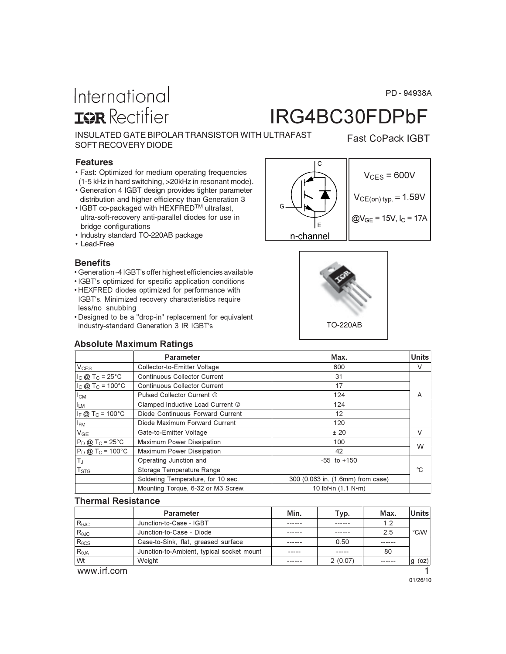PD-94938A

Fast CoPack IGBT

# International **ISR** Rectifier

# IRG4BC30FDPbF

INSULATED GATE BIPOLAR TRANSISTOR WITH ULTRAFAST SOFT RECOVERY DIODE

#### **Features**

- Fast: Optimized for medium operating frequencies (1-5 kHz in hard switching, >20kHz in resonant mode).
- Generation 4 IGBT design provides tighter parameter distribution and higher efficiency than Generation 3
- IGBT co-packaged with HEXFRED<sup>TM</sup> ultrafast, ultra-soft-recovery anti-parallel diodes for use in bridge configurations
- Industry standard TO-220AB package
- Lead-Free

#### **Benefits**

- Generation -4 IGBT's offer highest efficiencies available
- · IGBT's optimized for specific application conditions
- · HEXFRED diodes optimized for performance with IGBT's. Minimized recovery characteristics require less/no snubbing
- Designed to be a "drop-in" replacement for equivalent industry-standard Generation 3 IR IGBT's





#### Absolute Maximum Ratings

| Parameter                      |                                     | Max.                              | <b>Units</b> |
|--------------------------------|-------------------------------------|-----------------------------------|--------------|
| V <sub>CES</sub>               | Collector-to-Emitter Voltage        | 600                               | V            |
| $I_C$ @ T <sub>C</sub> = 25°C  | <b>Continuous Collector Current</b> | 31                                |              |
| $I_C$ @ T <sub>C</sub> = 100°C | <b>Continuous Collector Current</b> | 17                                |              |
| $I_{CM}$                       | Pulsed Collector Current 1          | 124                               | A            |
| <b>LM</b>                      | Clamped Inductive Load Current 2    | 124                               |              |
| $I_F @ T_C = 100°C$            | Diode Continuous Forward Current    | 12                                |              |
| <sup>I</sup> FM                | Diode Maximum Forward Current       | 120                               |              |
| V <sub>GE</sub>                | Gate-to-Emitter Voltage             | ± 20                              | V            |
| $P_D @ T_C = 25°C$             | Maximum Power Dissipation           | 100                               | W            |
| $P_D @ T_C = 100°C$            | Maximum Power Dissipation           | 42                                |              |
| $T_{\rm J}$                    | Operating Junction and              | $-55$ to $+150$                   |              |
| $\mathsf{T}_{\textsf{STG}}$    | Storage Temperature Range           |                                   | °C.          |
|                                | Soldering Temperature, for 10 sec.  | 300 (0.063 in. (1.6mm) from case) |              |
|                                | Mounting Torque, 6-32 or M3 Screw.  | 10 lbf•in (1.1 N•m)               |              |
|                                |                                     |                                   |              |

#### **Thermal Resistance**

|                 | <b>Parameter</b>                          | Min.   | Typ.    | Max.  | <b>Units</b> |
|-----------------|-------------------------------------------|--------|---------|-------|--------------|
| $R_{\theta$ JC  | Junction-to-Case - IGBT                   | ------ | ------  | 1.2   |              |
| $R_{\theta$ JC  | Junction-to-Case - Diode                  | ------ | ------  | 2.5   | °C/W         |
| $R_{\theta CS}$ | Case-to-Sink, flat, greased surface       | ------ | 0.50    | .     |              |
| $R_{\theta$ JA  | Junction-to-Ambient, typical socket mount | -----  | -----   | 80    |              |
| Wt              | Weight                                    |        | 2(0.07) | ----- | $g$ (oz)     |

www.irf.com **1** 

01/26/10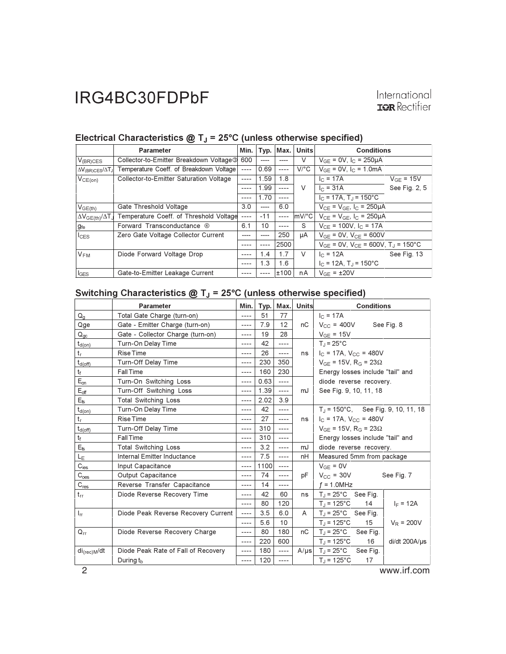|                                 | <b>Parameter</b>                                    | Min.      | Typ.  | Max.      | <b>Units</b> | <b>Conditions</b>                                      |                |
|---------------------------------|-----------------------------------------------------|-----------|-------|-----------|--------------|--------------------------------------------------------|----------------|
| $V_{(BR)CES}$                   | Collector-to-Emitter Breakdown Voltage <sup>3</sup> | 600       | $---$ | ----      | V            | $V_{GF} = 0V$ , $I_C = 250 \mu A$                      |                |
| $\Delta V_{(BR)CES}/\Delta T_J$ | Temperature Coeff. of Breakdown Voltage             | $- - - -$ | 0.69  | $---$     | $V$ /°C      | $V_{GF} = 0V$ , $I_C = 1.0mA$                          |                |
| $V_{CE(on)}$                    | Collector-to-Emitter Saturation Voltage             | $- - - -$ | 1.59  | 1.8       |              | $I_{C} = 17A$                                          | $V_{GF} = 15V$ |
|                                 |                                                     | $- - - -$ | 1.99  | $---$     | V            | $I_{C}$ = 31A                                          | See Fig. 2, 5  |
|                                 |                                                     |           | 1.70  | $- - - -$ |              | $I_C = 17A$ , T <sub>J</sub> = 150°C                   |                |
| $V_{GE(th)}$                    | Gate Threshold Voltage                              | 3.0       | $---$ | 6.0       |              | $V_{CE} = V_{GE}$ , $I_C = 250 \mu A$                  |                |
| $\Delta V_{GE(th)}/\Delta T_J$  | Temperature Coeff. of Threshold Voltage             | $- - - -$ | $-11$ | $---$     | $mV$ °C      | $V_{CE} = V_{GE}$ , $I_C = 250 \mu A$                  |                |
| g <sub>fe</sub>                 | Forward Transconductance 4                          | 6.1       | 10    | $- - - -$ | S            | $V_{CF}$ = 100V, $I_C$ = 17A                           |                |
| $I_{CES}$                       | Zero Gate Voltage Collector Current                 | $  -$     | $---$ | 250       | μA           | $V_{GF} = 0V$ , $V_{CF} = 600V$                        |                |
|                                 |                                                     |           |       | 2500      |              | $V_{GE}$ = 0V, $V_{CE}$ = 600V, T <sub>J</sub> = 150°C |                |
| $V_{FM}$                        | Diode Forward Voltage Drop                          | $- - - -$ | 1.4   | 1.7       | $\vee$       | $I_{C}$ = 12A                                          | See Fig. 13    |
|                                 |                                                     | $- - - -$ | 1.3   | 1.6       |              | $I_C = 12A$ , $T_J = 150^{\circ}C$                     |                |
| $I_{GES}$                       | Gate-to-Emitter Leakage Current                     | ----      |       | ±100      | nA           | $V_{GF} = \pm 20V$                                     |                |

### Electrical Characteristics  $@T_J = 25°C$  (unless otherwise specified)

### Switching Characteristics  $@T_J = 25°C$  (unless otherwise specified)

|                         | <b>Parameter</b>                    | Min.      |      | Typ. Max. | <b>Units</b> | <b>Conditions</b>                            |                         |                                               |  |
|-------------------------|-------------------------------------|-----------|------|-----------|--------------|----------------------------------------------|-------------------------|-----------------------------------------------|--|
| $Q_{q}$                 | Total Gate Charge (turn-on)         | $- - - -$ | 51   | 77        |              | $I_C = 17A$                                  |                         |                                               |  |
| Qge                     | Gate - Emitter Charge (turn-on)     | ----      | 7.9  | 12        | nC           | $V_{CC}$ = 400V                              |                         | See Fig. 8                                    |  |
| $Q_{gc}$                | Gate - Collector Charge (turn-on)   | ----      | 19   | 28        |              | $V_{GE}$ = 15V                               |                         |                                               |  |
| $t_{d(on)}$             | Turn-On Delay Time                  | ----      | 42   | ----      |              | $T_1 = 25^{\circ}C$                          |                         |                                               |  |
| $\mathsf{t}_\mathsf{r}$ | <b>Rise Time</b>                    | ----      | 26   | ----      | ns           | $I_C = 17A$ , $V_{CC} = 480V$                |                         |                                               |  |
| $t_{d(off)}$            | Turn-Off Delay Time                 | ----      | 230  | 350       |              | $V_{GE}$ = 15V, R <sub>G</sub> = 23 $\Omega$ |                         |                                               |  |
| $t_{\rm f}$             | <b>Fall Time</b>                    | ----      | 160  | 230       |              | Energy losses include "tail" and             |                         |                                               |  |
| $E_{on}$                | Turn-On Switching Loss              | ----      | 0.63 | $---$     |              |                                              | diode reverse recovery. |                                               |  |
| $E_{\text{off}}$        | Turn-Off Switching Loss             | ----      | 1.39 | $---$     | mJ           | See Fig. 9, 10, 11, 18                       |                         |                                               |  |
| $E_{\rm ts}$            | <b>Total Switching Loss</b>         | ----      | 2.02 | 3.9       |              |                                              |                         |                                               |  |
| $t_{d(on)}$             | Turn-On Delay Time                  | ----      | 42   | ----      |              |                                              |                         | $T_J = 150^{\circ}$ C, See Fig. 9, 10, 11, 18 |  |
| $\mathsf{t}_\mathsf{r}$ | <b>Rise Time</b>                    | ----      | 27   | $---$     | ns           | $I_C = 17A$ , $V_{CC} = 480V$                |                         |                                               |  |
| $t_{d(off)}$            | Turn-Off Delay Time                 | ----      | 310  | ----      |              | $V_{GF}$ = 15V, R <sub>G</sub> = 23 $\Omega$ |                         |                                               |  |
| $\mathsf{t}_\mathsf{f}$ | Fall Time                           | ----      | 310  | ----      |              | Energy losses include "tail" and             |                         |                                               |  |
| $E_{ts}$                | <b>Total Switching Loss</b>         | $- - - -$ | 3.2  | $---$     | mJ           | diode reverse recovery.                      |                         |                                               |  |
| LE                      | Internal Emitter Inductance         | $- - - -$ | 7.5  | ----      | nH           | Measured 5mm from package                    |                         |                                               |  |
| $C_{\text{ies}}$        | Input Capacitance                   | ----      | 1100 | $---$     |              | $V_{GF} = 0V$                                |                         |                                               |  |
| $C_{\text{oes}}$        | Output Capacitance                  | ----      | 74   | ----      | рF           | $V_{CC}$ = 30V                               |                         | See Fig. 7                                    |  |
| $C_{res}$               | Reverse Transfer Capacitance        | ----      | 14   | ----      |              | $f = 1.0$ MHz                                |                         |                                               |  |
| $t_{rr}$                | Diode Reverse Recovery Time         | $- - - -$ | 42   | 60        | ns           | $T_{\text{I}}$ = 25°C See Fig.               |                         |                                               |  |
|                         |                                     | $- - - -$ | 80   | 120       |              | $T_1 = 125$ °C                               | 14                      | $I_F = 12A$                                   |  |
| $I_{rr}$                | Diode Peak Reverse Recovery Current | ----      | 3.5  | 6.0       | A            | $T_{\text{d}}$ = 25°C See Fig.               |                         |                                               |  |
|                         |                                     | $- - - -$ | 5.6  | 10        |              | $T_{\rm d}$ = 125°C                          | 15 <sup>15</sup>        | $V_R = 200V$                                  |  |
| $Q_{rr}$                | Diode Reverse Recovery Charge       | ----      | 80   | 180       | nC           | $T_{\rm d}$ = 25°C                           | See Fig.                |                                               |  |
|                         |                                     | $- - - -$ | 220  | 600       |              | $T_{\rm d}$ = 125°C                          | 16                      | di/dt 200A/us                                 |  |
| $di_{\text{(rec)M}}/dt$ | Diode Peak Rate of Fall of Recovery | $- - - -$ | 180  | ----      | $A/\mu s$    | $T_J$ = 25°C                                 | See Fig.                |                                               |  |
|                         | During $t_{\rm b}$                  | ----      | 120  | ----      |              | $T_J = 125$ °C                               | 17                      |                                               |  |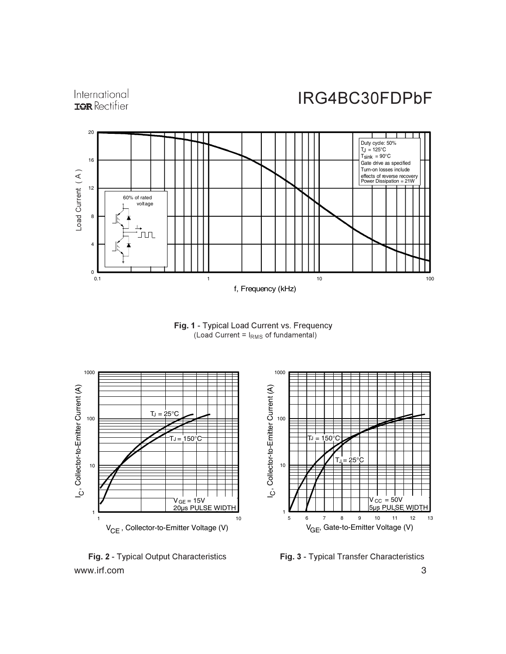

Fig. 1 - Typical Load Current vs. Frequency (Load Current =  $I_{RMS}$  of fundamental)



www.irf.com 3 **Fig. 2 - Typical Output Characteristics Fi** 

International

Fig. 3 - Typical Transfer Characteristics

IRG4BC30FDPbF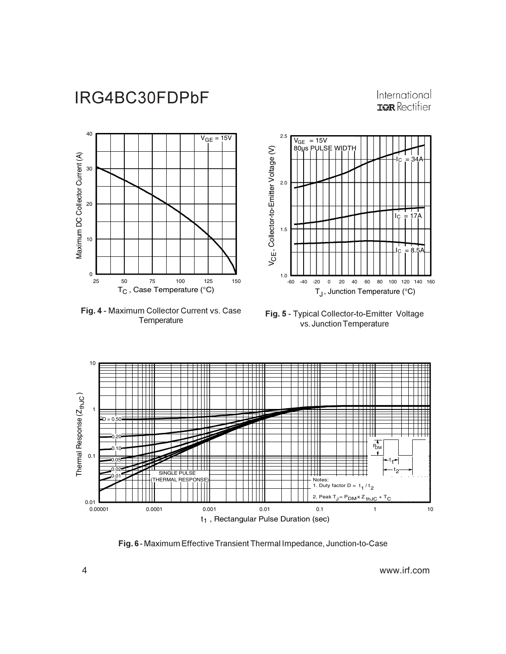International **IOR** Rectifier



Fig. 4 - Maximum Collector Current vs. Case Temperature

Fig. 5 - Typical Collector-to-Emitter Voltage vs. Junction Temperature



**Fig. 6 - Maximum Effective Transient Thermal Impedance, Junction-to-Case**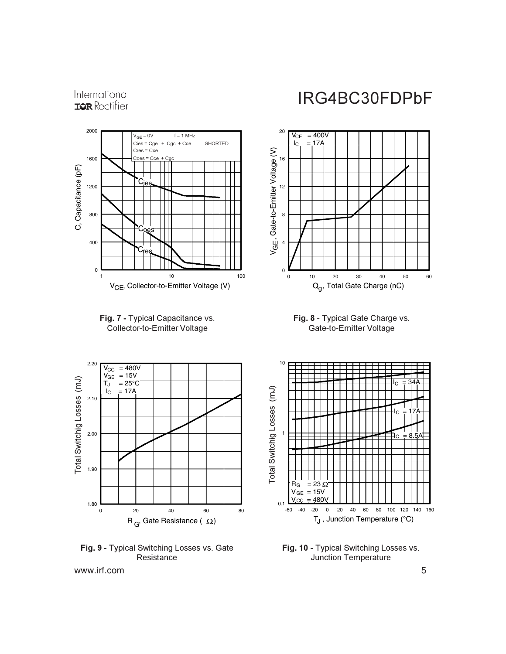International **IOR** Rectifier







Fig. 9 - Typical Switching Losses vs. Gate Resistance

### IRG4BC30FDPbF



Fig. 8 - Typical Gate Charge vs. Gate-to-Emitter Voltage



Fig. 10 - Typical Switching Losses vs. Junction Temperature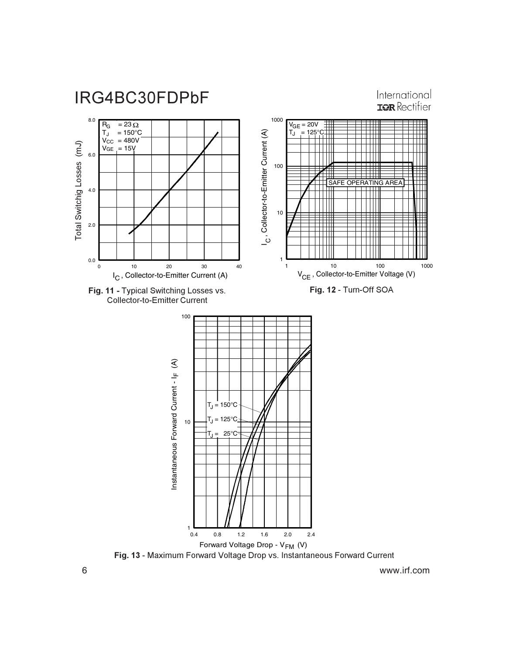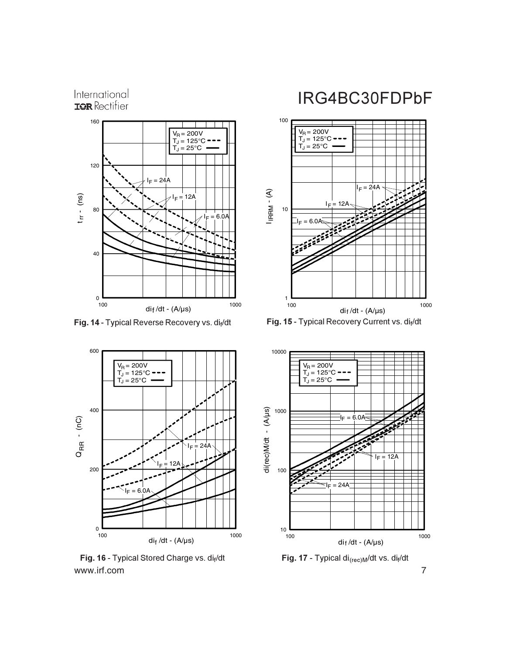International **IOR** Rectifier



**Fig. 14 - Typical Reverse Recovery vs. dif/dt** Fi



www.irf.com 7 **Fig. 16 - Typical Stored Charge vs. dif/dt** Fi

# IRG4BC30FDPbF



**g. 15 - Typical Recovery Current vs. dif/dt** 



**g. 17 -** Typical di<sub>(rec)M</sub>/dt vs. di<sub>f</sub>/dt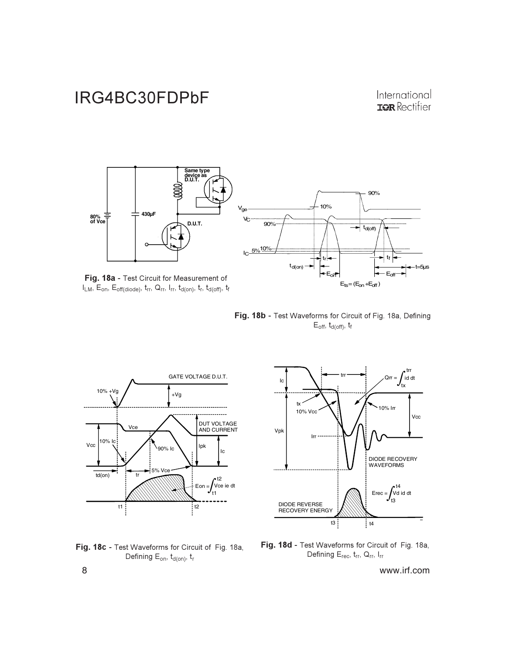### International **IOR** Rectifier



 $I_{LM}$ ,  $E_{on}$ ,  $E_{off(diode)}$ ,  $t_{rr}$ ,  $Q_{rr}$ ,  $I_{rr}$ ,  $t_{d(on)}$ ,  $t_r$ ,  $t_{d(off)}$ ,  $t_f$ 

Fig. 18b - Test Waveforms for Circuit of Fig. 18a, Defining E<sub>off</sub>, t<sub>d(off)</sub>, t<sub>f</sub>







Fig. 18d - Test Waveforms for Circuit of Fig. 18a, Defining  $E_{rec}$ ,  $t_{rr}$ ,  $Q_{rr}$ , I<sub>rr</sub>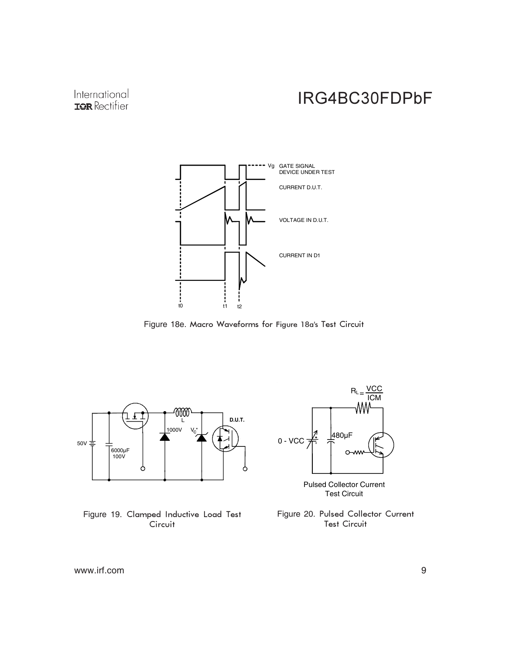### International **IOR** Rectifier

# IRG4BC30FDPbF



Figure 18e. Macro Waveforms for Figure 18a's Test Circuit



#### Figure 19. Clamped Inductive Load Test Circuit



Pulsed Collector Current Test Circuit

Figure 20. Pulsed Collector Current **Test Circuit**